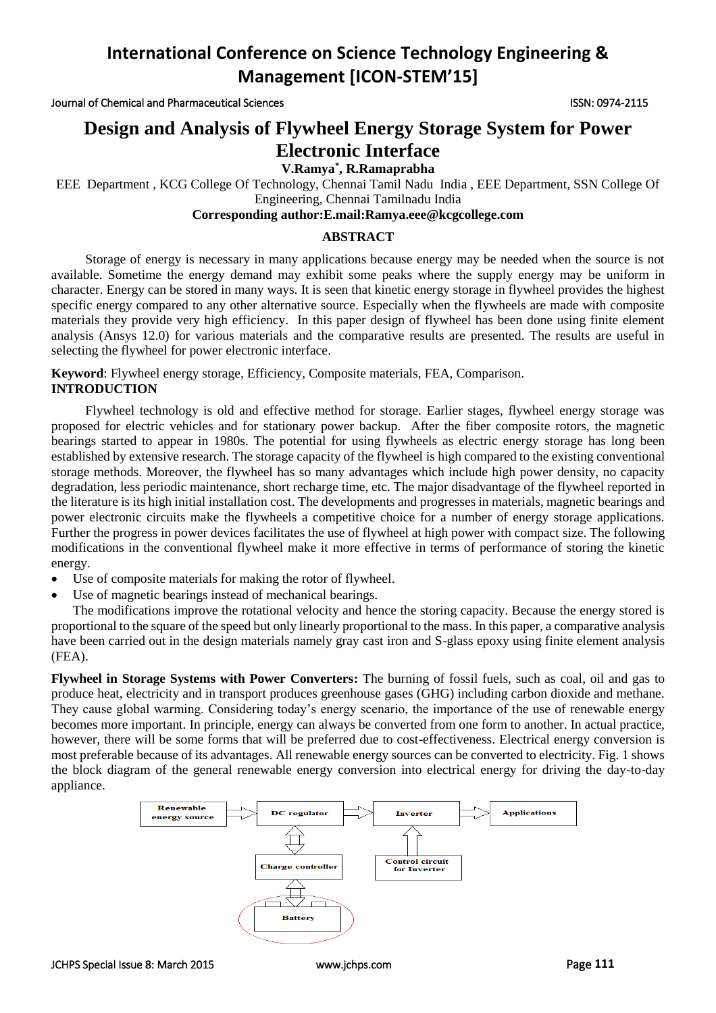Journal of Chemical and Pharmaceutical Sciences ISSN: 0974-2115

# **Design and Analysis of Flywheel Energy Storage System for Power Electronic Interface**

**V.Ramya\* , R.Ramaprabha**

EEE Department , KCG College Of Technology, Chennai Tamil Nadu India , EEE Department, SSN College Of

Engineering, Chennai Tamilnadu India

## **Corresponding author:E.mail:Ramya.eee@kcgcollege.com**

#### **ABSTRACT**

Storage of energy is necessary in many applications because energy may be needed when the source is not available. Sometime the energy demand may exhibit some peaks where the supply energy may be uniform in character. Energy can be stored in many ways. It is seen that kinetic energy storage in flywheel provides the highest specific energy compared to any other alternative source. Especially when the flywheels are made with composite materials they provide very high efficiency. In this paper design of flywheel has been done using finite element analysis (Ansys 12.0) for various materials and the comparative results are presented. The results are useful in selecting the flywheel for power electronic interface.

**Keyword**: Flywheel energy storage, Efficiency, Composite materials, FEA, Comparison. **INTRODUCTION**

Flywheel technology is old and effective method for storage. Earlier stages, flywheel energy storage was proposed for electric vehicles and for stationary power backup. After the fiber composite rotors, the magnetic bearings started to appear in 1980s. The potential for using flywheels as electric energy storage has long been established by extensive research. The storage capacity of the flywheel is high compared to the existing conventional storage methods. Moreover, the flywheel has so many advantages which include high power density, no capacity degradation, less periodic maintenance, short recharge time, etc. The major disadvantage of the flywheel reported in the literature is its high initial installation cost. The developments and progresses in materials, magnetic bearings and power electronic circuits make the flywheels a competitive choice for a number of energy storage applications. Further the progress in power devices facilitates the use of flywheel at high power with compact size. The following modifications in the conventional flywheel make it more effective in terms of performance of storing the kinetic energy.

- Use of composite materials for making the rotor of flywheel.
- Use of magnetic bearings instead of mechanical bearings.

The modifications improve the rotational velocity and hence the storing capacity. Because the energy stored is proportional to the square of the speed but only linearly proportional to the mass. In this paper, a comparative analysis have been carried out in the design materials namely gray cast iron and S-glass epoxy using finite element analysis (FEA).

**Flywheel in Storage Systems with Power Converters:** The burning of fossil fuels, such as coal, oil and gas to produce heat, electricity and in transport produces greenhouse gases (GHG) including carbon dioxide and methane. They cause global warming. Considering today's energy scenario, the importance of the use of renewable energy becomes more important. In principle, energy can always be converted from one form to another. In actual practice, however, there will be some forms that will be preferred due to cost-effectiveness. Electrical energy conversion is most preferable because of its advantages. All renewable energy sources can be converted to electricity. Fig. 1 shows the block diagram of the general renewable energy conversion into electrical energy for driving the day-to-day appliance.

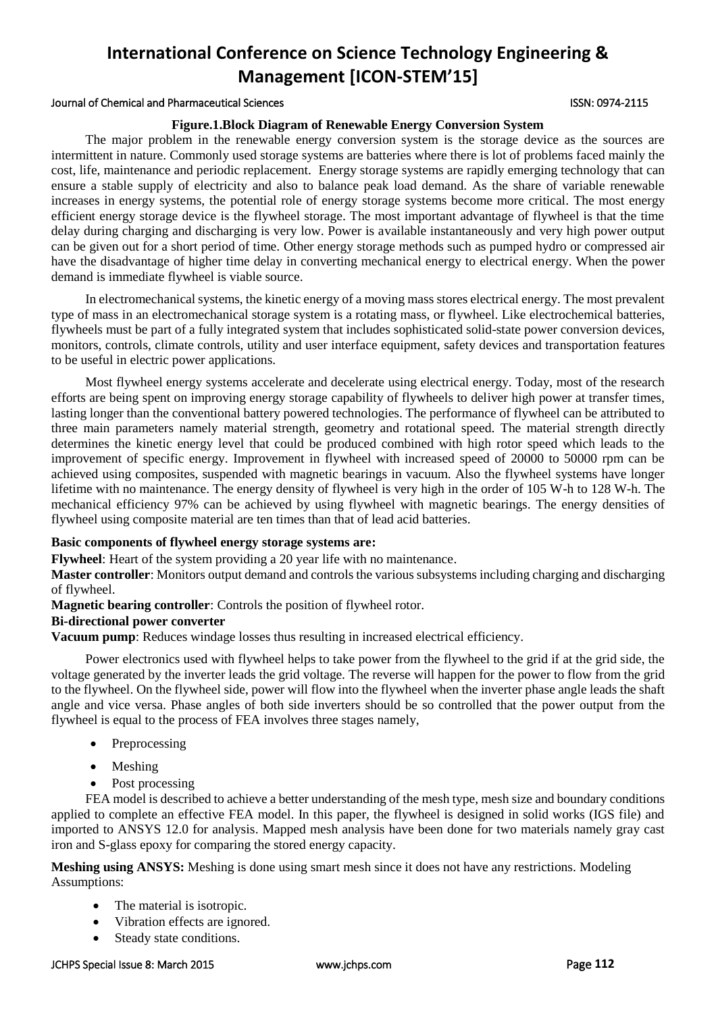#### Journal of Chemical and Pharmaceutical Sciences ISSN: 0974-2115

#### **Figure.1.Block Diagram of Renewable Energy Conversion System**

The major problem in the renewable energy conversion system is the storage device as the sources are intermittent in nature. Commonly used storage systems are batteries where there is lot of problems faced mainly the cost, life, maintenance and periodic replacement. Energy storage systems are rapidly emerging technology that can ensure a stable supply of electricity and also to balance peak load demand. As the share of variable renewable increases in energy systems, the potential role of energy storage systems become more critical. The most energy efficient energy storage device is the flywheel storage. The most important advantage of flywheel is that the time delay during charging and discharging is very low. Power is available instantaneously and very high power output can be given out for a short period of time. Other energy storage methods such as pumped hydro or compressed air have the disadvantage of higher time delay in converting mechanical energy to electrical energy. When the power demand is immediate flywheel is viable source.

In electromechanical systems, the kinetic energy of a moving mass stores electrical energy. The most prevalent type of mass in an electromechanical storage system is a rotating mass, or flywheel. Like electrochemical batteries, flywheels must be part of a fully integrated system that includes sophisticated solid-state power conversion devices, monitors, controls, climate controls, utility and user interface equipment, safety devices and transportation features to be useful in electric power applications.

Most flywheel energy systems accelerate and decelerate using electrical energy. Today, most of the research efforts are being spent on improving energy storage capability of flywheels to deliver high power at transfer times, lasting longer than the conventional battery powered technologies. The performance of flywheel can be attributed to three main parameters namely material strength, geometry and rotational speed. The material strength directly determines the kinetic energy level that could be produced combined with high rotor speed which leads to the improvement of specific energy. Improvement in flywheel with increased speed of 20000 to 50000 rpm can be achieved using composites, suspended with magnetic bearings in vacuum. Also the flywheel systems have longer lifetime with no maintenance. The energy density of flywheel is very high in the order of 105 W-h to 128 W-h. The mechanical efficiency 97% can be achieved by using flywheel with magnetic bearings. The energy densities of flywheel using composite material are ten times than that of lead acid batteries.

### **Basic components of flywheel energy storage systems are:**

**Flywheel**: Heart of the system providing a 20 year life with no maintenance.

**Master controller**: Monitors output demand and controls the various subsystems including charging and discharging of flywheel.

**Magnetic bearing controller**: Controls the position of flywheel rotor.

### **Bi-directional power converter**

**Vacuum pump**: Reduces windage losses thus resulting in increased electrical efficiency.

Power electronics used with flywheel helps to take power from the flywheel to the grid if at the grid side, the voltage generated by the inverter leads the grid voltage. The reverse will happen for the power to flow from the grid to the flywheel. On the flywheel side, power will flow into the flywheel when the inverter phase angle leads the shaft angle and vice versa. Phase angles of both side inverters should be so controlled that the power output from the flywheel is equal to the process of FEA involves three stages namely,

- Preprocessing
- Meshing
- Post processing

FEA model is described to achieve a better understanding of the mesh type, mesh size and boundary conditions applied to complete an effective FEA model. In this paper, the flywheel is designed in solid works (IGS file) and imported to ANSYS 12.0 for analysis. Mapped mesh analysis have been done for two materials namely gray cast iron and S-glass epoxy for comparing the stored energy capacity.

**Meshing using ANSYS:** Meshing is done using smart mesh since it does not have any restrictions. Modeling Assumptions:

- The material is isotropic.
- Vibration effects are ignored.
- Steady state conditions.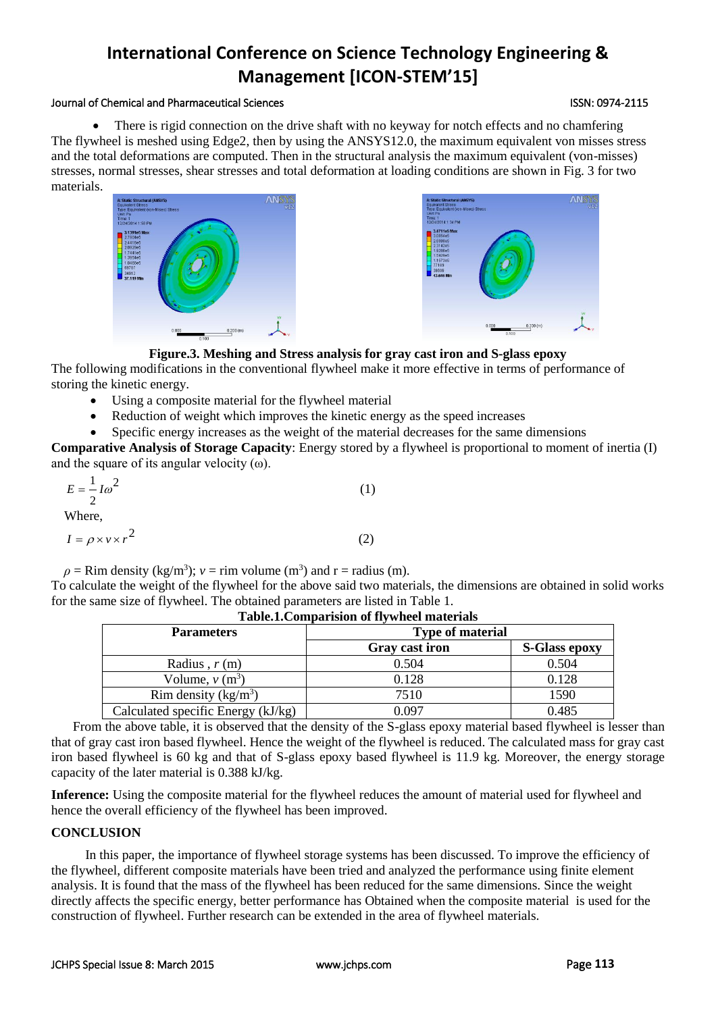#### Journal of Chemical and Pharmaceutical Sciences ISSN: 0974-2115

 There is rigid connection on the drive shaft with no keyway for notch effects and no chamfering The flywheel is meshed using Edge2, then by using the ANSYS12.0, the maximum equivalent von misses stress and the total deformations are computed. Then in the structural analysis the maximum equivalent (von-misses) stresses, normal stresses, shear stresses and total deformation at loading conditions are shown in Fig. 3 for two materials.





**Figure.3. Meshing and Stress analysis for gray cast iron and S-glass epoxy**

The following modifications in the conventional flywheel make it more effective in terms of performance of storing the kinetic energy.

- Using a composite material for the flywheel material
- Reduction of weight which improves the kinetic energy as the speed increases
- Specific energy increases as the weight of the material decreases for the same dimensions

**Comparative Analysis of Storage Capacity**: Energy stored by a flywheel is proportional to moment of inertia (I) and the square of its angular velocity  $(\omega)$ .

| $E=\frac{1}{\omega^2}$ |  |
|------------------------|--|
|                        |  |
| Where,                 |  |

$$
WILIC, \quad WILIC, \quad WILIC, \quad WILIC, \quad WILIC, \quad WILIC, \quad WILIC, \quad WILIC, \quad WILIC, \quad WILIC, \quad WILIC, \quad WILIC, \quad WILIC, \quad WILIC, \quad WILIC, \quad WILIC, \quad WILIC, \quad WILIC, \quad WILIC, \quad WILIC, \quad WILIC, \quad WILIC, \quad WILIC, \quad WILIC, \quad WILIC, \quad WILIC, \quad WILIC, \quad WILIC, \quad WILIC, \quad WILIC, \quad WILIC, \quad WILIC, \quad WILIC, \quad WILIC, \quad WILIC, \quad WILIC, \quad WILIC, \quad WILIC, \quad WILIC, \quad WILIC, \quad WILIC, \quad WILIC, \quad WILIC, \quad WILIC, \quad WILIC, \quad WILIC, \quad WILIC, \quad WILIC, \quad WILIC, \quad WILIC, \quad WILIC, \quad WILIC, \quad WILIC, \quad WILIC, \quad WILIC, \quad WILIC, \quad WILIC, \quad WILIC, \quad WILIC, \quad WILIC, \quad WILIC, \quad WILIC, \quad WILIC, \quad WILIC, \quad WILIC, \quad WILIC, \quad WILIC, \quad WILIC, \quad WILIC, \quad WILIC, \quad WILIC, \quad WILIC, \quad WILIC, \quad WILIC, \quad WILIC, \quad WILIC, \quad WILIC, \quad WILIC, \quad WILIC, \quad WILIC, \quad WILIC, \quad WILIC, \quad WILIC, \quad WILIC, \quad WILIC, \quad WILIC, \quad WILIC, \quad WILIC, \quad WILIC, \quad WILIC, \quad WILIC, \quad WILIC, \quad WILIC, \quad WILIC, \quad WILIC, \quad WILIC, \quad WILIC, \quad WILIC, \quad WILIC, \quad WILIC, \quad WILIC, \quad WILIC, \quad WILIC, \quad WILIC, \quad WILIC, \quad WILIC, \quad WILIC, \quad WILIC, \quad WILIC, \quad WILIC, \quad WILIC, \quad WILIC, \quad WILIC, \quad WILIC, \quad WILIC, \quad WILIC, \quad WILIC, \quad WILIC, \quad WILIC, \quad WILIC, \quad WILIC, \quad WILIC, \quad WILIC, \quad WILIC, \quad WILIC, \quad WILIC, \quad WILIC
$$

$$
I = \rho \times v \times r^2 \tag{2}
$$

2

 $\rho =$  Rim density (kg/m<sup>3</sup>);  $v =$  rim volume (m<sup>3</sup>) and r = radius (m).

To calculate the weight of the flywheel for the above said two materials, the dimensions are obtained in solid works for the same size of flywheel. The obtained parameters are listed in Table 1.

| <b>Parameters</b>                  | <b>Type of material</b> |                      |
|------------------------------------|-------------------------|----------------------|
|                                    | Gray cast iron          | <b>S-Glass epoxy</b> |
| Radius, $r(m)$                     | 0.504                   | 0.504                |
| Volume, $v(m^3)$                   | 0.128                   | 0.128                |
| Rim density $(kg/m^3)$             | 7510                    | 1590                 |
| Calculated specific Energy (kJ/kg) | Ი Ი97                   | 0.485                |

**Table.1.Comparision of flywheel materials**

From the above table, it is observed that the density of the S-glass epoxy material based flywheel is lesser than that of gray cast iron based flywheel. Hence the weight of the flywheel is reduced. The calculated mass for gray cast iron based flywheel is 60 kg and that of S-glass epoxy based flywheel is 11.9 kg. Moreover, the energy storage capacity of the later material is 0.388 kJ/kg.

**Inference:** Using the composite material for the flywheel reduces the amount of material used for flywheel and hence the overall efficiency of the flywheel has been improved.

### **CONCLUSION**

In this paper, the importance of flywheel storage systems has been discussed. To improve the efficiency of the flywheel, different composite materials have been tried and analyzed the performance using finite element analysis. It is found that the mass of the flywheel has been reduced for the same dimensions. Since the weight directly affects the specific energy, better performance has Obtained when the composite material is used for the construction of flywheel. Further research can be extended in the area of flywheel materials.